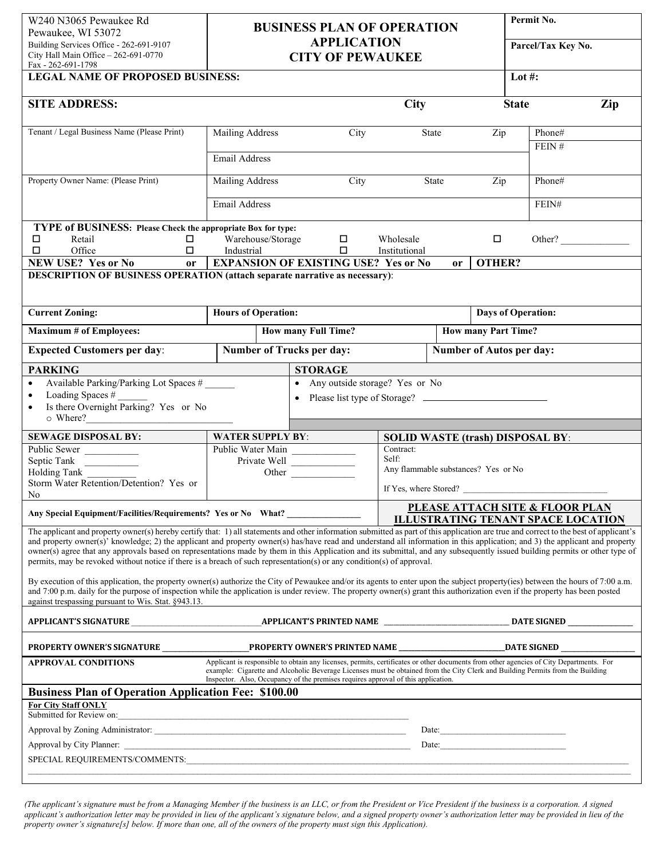| W240 N3065 Pewaukee Rd<br><b>BUSINESS PLAN OF OPERATION</b><br>Pewaukee, WI 53072                                                                                                                                                                                                                                                                                                                                                                                                                                                                                                                                                                                                                                                                                                                                                                                   |                                                                                                                       |                                                                                                                                                                                                                                                                                                                                                               |                                     |       |                            | Permit No.                                 |        |
|---------------------------------------------------------------------------------------------------------------------------------------------------------------------------------------------------------------------------------------------------------------------------------------------------------------------------------------------------------------------------------------------------------------------------------------------------------------------------------------------------------------------------------------------------------------------------------------------------------------------------------------------------------------------------------------------------------------------------------------------------------------------------------------------------------------------------------------------------------------------|-----------------------------------------------------------------------------------------------------------------------|---------------------------------------------------------------------------------------------------------------------------------------------------------------------------------------------------------------------------------------------------------------------------------------------------------------------------------------------------------------|-------------------------------------|-------|----------------------------|--------------------------------------------|--------|
| Building Services Office - 262-691-9107<br>City Hall Main Office - 262-691-0770<br>Fax - 262-691-1798                                                                                                                                                                                                                                                                                                                                                                                                                                                                                                                                                                                                                                                                                                                                                               | <b>APPLICATION</b><br><b>CITY OF PEWAUKEE</b>                                                                         |                                                                                                                                                                                                                                                                                                                                                               |                                     |       |                            | Parcel/Tax Key No.                         |        |
| <b>LEGAL NAME OF PROPOSED BUSINESS:</b>                                                                                                                                                                                                                                                                                                                                                                                                                                                                                                                                                                                                                                                                                                                                                                                                                             |                                                                                                                       |                                                                                                                                                                                                                                                                                                                                                               |                                     |       |                            | Lot #:                                     |        |
| <b>SITE ADDRESS:</b>                                                                                                                                                                                                                                                                                                                                                                                                                                                                                                                                                                                                                                                                                                                                                                                                                                                |                                                                                                                       |                                                                                                                                                                                                                                                                                                                                                               | City                                |       |                            | <b>State</b>                               | Zip    |
| Tenant / Legal Business Name (Please Print)                                                                                                                                                                                                                                                                                                                                                                                                                                                                                                                                                                                                                                                                                                                                                                                                                         | Mailing Address                                                                                                       | City                                                                                                                                                                                                                                                                                                                                                          |                                     | State | Zip                        | Phone#                                     |        |
|                                                                                                                                                                                                                                                                                                                                                                                                                                                                                                                                                                                                                                                                                                                                                                                                                                                                     |                                                                                                                       |                                                                                                                                                                                                                                                                                                                                                               |                                     |       |                            | FEIN#                                      |        |
|                                                                                                                                                                                                                                                                                                                                                                                                                                                                                                                                                                                                                                                                                                                                                                                                                                                                     | Email Address                                                                                                         |                                                                                                                                                                                                                                                                                                                                                               |                                     |       |                            |                                            |        |
| Property Owner Name: (Please Print)                                                                                                                                                                                                                                                                                                                                                                                                                                                                                                                                                                                                                                                                                                                                                                                                                                 | Mailing Address                                                                                                       | City                                                                                                                                                                                                                                                                                                                                                          |                                     | State | Zip                        | Phone#                                     |        |
|                                                                                                                                                                                                                                                                                                                                                                                                                                                                                                                                                                                                                                                                                                                                                                                                                                                                     | Email Address                                                                                                         |                                                                                                                                                                                                                                                                                                                                                               |                                     |       |                            | FEIN#                                      |        |
| TYPE of BUSINESS: Please Check the appropriate Box for type:                                                                                                                                                                                                                                                                                                                                                                                                                                                                                                                                                                                                                                                                                                                                                                                                        |                                                                                                                       |                                                                                                                                                                                                                                                                                                                                                               |                                     |       |                            |                                            |        |
| □<br>Retail<br>□                                                                                                                                                                                                                                                                                                                                                                                                                                                                                                                                                                                                                                                                                                                                                                                                                                                    | Warehouse/Storage                                                                                                     | $\Box$                                                                                                                                                                                                                                                                                                                                                        | Wholesale                           |       | $\Box$                     |                                            | Other? |
| Office<br>$\Box$<br>$\Box$                                                                                                                                                                                                                                                                                                                                                                                                                                                                                                                                                                                                                                                                                                                                                                                                                                          | Industrial                                                                                                            | $\Box$<br><b>EXPANSION OF EXISTING USE? Yes or No</b>                                                                                                                                                                                                                                                                                                         | Institutional                       |       | OTHER?                     |                                            |        |
| NEW USE? Yes or No<br>or<br><b>DESCRIPTION OF BUSINESS OPERATION (attach separate narrative as necessary):</b>                                                                                                                                                                                                                                                                                                                                                                                                                                                                                                                                                                                                                                                                                                                                                      |                                                                                                                       |                                                                                                                                                                                                                                                                                                                                                               |                                     | or    |                            |                                            |        |
|                                                                                                                                                                                                                                                                                                                                                                                                                                                                                                                                                                                                                                                                                                                                                                                                                                                                     |                                                                                                                       |                                                                                                                                                                                                                                                                                                                                                               |                                     |       |                            |                                            |        |
| <b>Current Zoning:</b>                                                                                                                                                                                                                                                                                                                                                                                                                                                                                                                                                                                                                                                                                                                                                                                                                                              | <b>Hours of Operation:</b>                                                                                            |                                                                                                                                                                                                                                                                                                                                                               |                                     |       |                            | <b>Days of Operation:</b>                  |        |
| <b>Maximum # of Employees:</b>                                                                                                                                                                                                                                                                                                                                                                                                                                                                                                                                                                                                                                                                                                                                                                                                                                      |                                                                                                                       | How many Full Time?                                                                                                                                                                                                                                                                                                                                           |                                     |       | <b>How many Part Time?</b> |                                            |        |
| <b>Expected Customers per day:</b>                                                                                                                                                                                                                                                                                                                                                                                                                                                                                                                                                                                                                                                                                                                                                                                                                                  | <b>Number of Trucks per day:</b><br><b>Number of Autos per day:</b>                                                   |                                                                                                                                                                                                                                                                                                                                                               |                                     |       |                            |                                            |        |
| <b>PARKING</b>                                                                                                                                                                                                                                                                                                                                                                                                                                                                                                                                                                                                                                                                                                                                                                                                                                                      |                                                                                                                       | <b>STORAGE</b>                                                                                                                                                                                                                                                                                                                                                |                                     |       |                            |                                            |        |
| Available Parking/Parking Lot Spaces #<br>$\bullet$<br>Loading Spaces #<br>$\bullet$<br>Is there Overnight Parking? Yes or No                                                                                                                                                                                                                                                                                                                                                                                                                                                                                                                                                                                                                                                                                                                                       |                                                                                                                       | Any outside storage? Yes or No<br>$\bullet$                                                                                                                                                                                                                                                                                                                   |                                     |       |                            |                                            |        |
| <b>SEWAGE DISPOSAL BY:</b>                                                                                                                                                                                                                                                                                                                                                                                                                                                                                                                                                                                                                                                                                                                                                                                                                                          | <b>WATER SUPPLY BY:</b>                                                                                               |                                                                                                                                                                                                                                                                                                                                                               |                                     |       |                            | <b>SOLID WASTE (trash) DISPOSAL BY:</b>    |        |
| Public Sewer                                                                                                                                                                                                                                                                                                                                                                                                                                                                                                                                                                                                                                                                                                                                                                                                                                                        | Public Water Main                                                                                                     |                                                                                                                                                                                                                                                                                                                                                               | Contract:                           |       |                            |                                            |        |
| Septic Tank                                                                                                                                                                                                                                                                                                                                                                                                                                                                                                                                                                                                                                                                                                                                                                                                                                                         |                                                                                                                       | Private Well                                                                                                                                                                                                                                                                                                                                                  | Self:                               |       |                            |                                            |        |
| Holding Tank                                                                                                                                                                                                                                                                                                                                                                                                                                                                                                                                                                                                                                                                                                                                                                                                                                                        |                                                                                                                       | Other                                                                                                                                                                                                                                                                                                                                                         | Any flammable substances? Yes or No |       |                            |                                            |        |
| Storm Water Retention/Detention? Yes or<br>No                                                                                                                                                                                                                                                                                                                                                                                                                                                                                                                                                                                                                                                                                                                                                                                                                       |                                                                                                                       |                                                                                                                                                                                                                                                                                                                                                               |                                     |       |                            | If Yes, where Stored?                      |        |
|                                                                                                                                                                                                                                                                                                                                                                                                                                                                                                                                                                                                                                                                                                                                                                                                                                                                     |                                                                                                                       |                                                                                                                                                                                                                                                                                                                                                               |                                     |       |                            | <b>PLEASE ATTACH SITE &amp; FLOOR PLAN</b> |        |
| Any Special Equipment/Facilities/Requirements? Yes or No What?                                                                                                                                                                                                                                                                                                                                                                                                                                                                                                                                                                                                                                                                                                                                                                                                      |                                                                                                                       |                                                                                                                                                                                                                                                                                                                                                               |                                     |       |                            | <b>ILLUSTRATING TENANT SPACE LOCATION</b>  |        |
| The applicant and property owner(s) hereby certify that: 1) all statements and other information submitted as part of this application are true and correct to the best of applicant's<br>and property owner(s)' knowledge; 2) the applicant and property owner(s) has/have read and understand all information in this application; and 3) the applicant and property<br>owner(s) agree that any approvals based on representations made by them in this Application and its submittal, and any subsequently issued building permits or other type of<br>permits, may be revoked without notice if there is a breach of such representation(s) or any condition(s) of approval.<br>By execution of this application, the property owner(s) authorize the City of Pewaukee and/or its agents to enter upon the subject property(ies) between the hours of 7:00 a.m. |                                                                                                                       |                                                                                                                                                                                                                                                                                                                                                               |                                     |       |                            |                                            |        |
| and 7:00 p.m. daily for the purpose of inspection while the application is under review. The property owner(s) grant this authorization even if the property has been posted<br>against trespassing pursuant to Wis. Stat. §943.13.                                                                                                                                                                                                                                                                                                                                                                                                                                                                                                                                                                                                                                 |                                                                                                                       |                                                                                                                                                                                                                                                                                                                                                               |                                     |       |                            |                                            |        |
|                                                                                                                                                                                                                                                                                                                                                                                                                                                                                                                                                                                                                                                                                                                                                                                                                                                                     |                                                                                                                       |                                                                                                                                                                                                                                                                                                                                                               |                                     |       |                            |                                            |        |
|                                                                                                                                                                                                                                                                                                                                                                                                                                                                                                                                                                                                                                                                                                                                                                                                                                                                     |                                                                                                                       |                                                                                                                                                                                                                                                                                                                                                               |                                     |       |                            |                                            |        |
| <b>APPROVAL CONDITIONS</b>                                                                                                                                                                                                                                                                                                                                                                                                                                                                                                                                                                                                                                                                                                                                                                                                                                          |                                                                                                                       | Applicant is responsible to obtain any licenses, permits, certificates or other documents from other agencies of City Departments. For<br>example: Cigarette and Alcoholic Beverage Licenses must be obtained from the City Clerk and Building Permits from the Building<br>Inspector. Also, Occupancy of the premises requires approval of this application. |                                     |       |                            |                                            |        |
| <b>Business Plan of Operation Application Fee: \$100.00</b>                                                                                                                                                                                                                                                                                                                                                                                                                                                                                                                                                                                                                                                                                                                                                                                                         |                                                                                                                       |                                                                                                                                                                                                                                                                                                                                                               |                                     |       |                            |                                            |        |
| <b>For City Staff ONLY</b><br>Submitted for Review on:                                                                                                                                                                                                                                                                                                                                                                                                                                                                                                                                                                                                                                                                                                                                                                                                              | <u> 1989 - Johann Barbara, martin amerikan basar dan basa dalam personal dan basa dalam basa dan basa dalam basa </u> |                                                                                                                                                                                                                                                                                                                                                               |                                     |       |                            |                                            |        |
|                                                                                                                                                                                                                                                                                                                                                                                                                                                                                                                                                                                                                                                                                                                                                                                                                                                                     |                                                                                                                       |                                                                                                                                                                                                                                                                                                                                                               |                                     |       |                            |                                            |        |
|                                                                                                                                                                                                                                                                                                                                                                                                                                                                                                                                                                                                                                                                                                                                                                                                                                                                     |                                                                                                                       |                                                                                                                                                                                                                                                                                                                                                               |                                     |       |                            | Date: $\qquad \qquad$                      |        |
|                                                                                                                                                                                                                                                                                                                                                                                                                                                                                                                                                                                                                                                                                                                                                                                                                                                                     |                                                                                                                       |                                                                                                                                                                                                                                                                                                                                                               |                                     |       |                            |                                            |        |

*(The applicant's signature must be from a Managing Member if the business is an LLC, or from the President or Vice President if the business is a corporation. A signed applicant's authorization letter may be provided in lieu of the applicant's signature below, and a signed property owner's authorization letter may be provided in lieu of the property owner's signature[s] below. If more than one, all of the owners of the property must sign this Application).*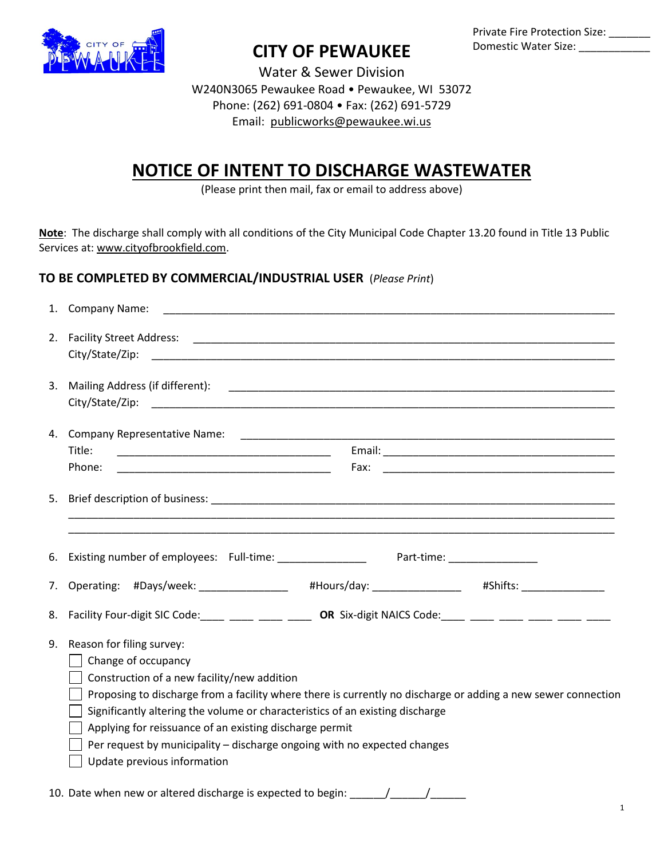

## **CITY OF PEWAUKEE**

Private Fire Protection Size: Domestic Water Size: \_\_\_\_\_\_\_\_\_\_\_\_

Water & Sewer Division W240N3065 Pewaukee Road • Pewaukee, WI 53072 Phone: (262) 691-0804 • Fax: (262) 691-5729 Email: [publicworks@pewaukee.wi.us](mailto:publicworks@pewaukee.wi.us)

## **NOTICE OF INTENT TO DISCHARGE WASTEWATER**

(Please print then mail, fax or email to address above)

**Note**: The discharge shall comply with all conditions of the City Municipal Code Chapter 13.20 found in Title 13 Public Services at: [www.cityofbrookfield.com.](http://www.cityofbrookfield.com/)

## **TO BE COMPLETED BY COMMERCIAL/INDUSTRIAL USER** (*Please Print*)

|    | 1. Company Name:                                                                                                                                                                                                                                                                                                                                                                                                                                                        |
|----|-------------------------------------------------------------------------------------------------------------------------------------------------------------------------------------------------------------------------------------------------------------------------------------------------------------------------------------------------------------------------------------------------------------------------------------------------------------------------|
|    |                                                                                                                                                                                                                                                                                                                                                                                                                                                                         |
|    |                                                                                                                                                                                                                                                                                                                                                                                                                                                                         |
|    | 3. Mailing Address (if different):                                                                                                                                                                                                                                                                                                                                                                                                                                      |
|    |                                                                                                                                                                                                                                                                                                                                                                                                                                                                         |
|    | Title:                                                                                                                                                                                                                                                                                                                                                                                                                                                                  |
|    | Phone:                                                                                                                                                                                                                                                                                                                                                                                                                                                                  |
|    | <u> 1989 - Johann Stoff, amerikansk politiker (d. 1989)</u>                                                                                                                                                                                                                                                                                                                                                                                                             |
|    | 6. Existing number of employees: Full-time: ________________<br>Part-time: __________________                                                                                                                                                                                                                                                                                                                                                                           |
|    | 7. Operating: #Days/week: _______________ #Hours/day: ______________ #Shifts: _____________                                                                                                                                                                                                                                                                                                                                                                             |
|    | 8. Facility Four-digit SIC Code: ____ ____ ____ _____ OR Six-digit NAICS Code: ____ ____ ____ ____ ____ ___                                                                                                                                                                                                                                                                                                                                                             |
| 9. | Reason for filing survey:<br>Change of occupancy<br>Construction of a new facility/new addition<br>Proposing to discharge from a facility where there is currently no discharge or adding a new sewer connection<br>Significantly altering the volume or characteristics of an existing discharge<br>Applying for reissuance of an existing discharge permit<br>Per request by municipality - discharge ongoing with no expected changes<br>Update previous information |
|    | 10. Date when new or altered discharge is expected to begin:                                                                                                                                                                                                                                                                                                                                                                                                            |